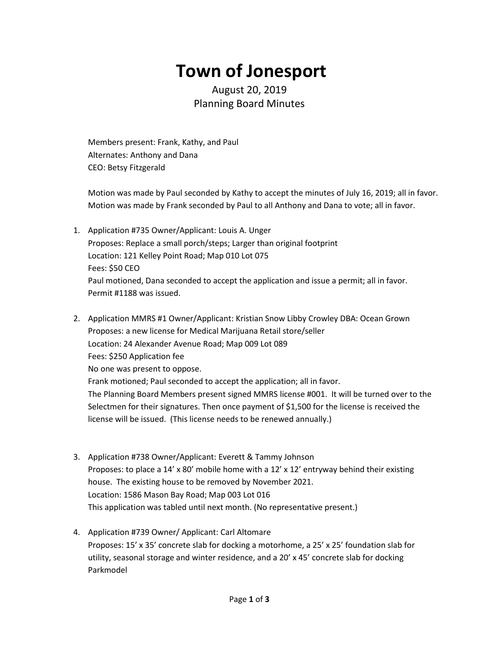## **Town of Jonesport**

August 20, 2019 Planning Board Minutes

Members present: Frank, Kathy, and Paul Alternates: Anthony and Dana CEO: Betsy Fitzgerald

Motion was made by Paul seconded by Kathy to accept the minutes of July 16, 2019; all in favor. Motion was made by Frank seconded by Paul to all Anthony and Dana to vote; all in favor.

- 1. Application #735 Owner/Applicant: Louis A. Unger Proposes: Replace a small porch/steps; Larger than original footprint Location: 121 Kelley Point Road; Map 010 Lot 075 Fees: \$50 CEO Paul motioned, Dana seconded to accept the application and issue a permit; all in favor. Permit #1188 was issued.
- 2. Application MMRS #1 Owner/Applicant: Kristian Snow Libby Crowley DBA: Ocean Grown Proposes: a new license for Medical Marijuana Retail store/seller Location: 24 Alexander Avenue Road; Map 009 Lot 089 Fees: \$250 Application fee No one was present to oppose. Frank motioned; Paul seconded to accept the application; all in favor. The Planning Board Members present signed MMRS license #001. It will be turned over to the Selectmen for their signatures. Then once payment of \$1,500 for the license is received the license will be issued. (This license needs to be renewed annually.)
- 3. Application #738 Owner/Applicant: Everett & Tammy Johnson Proposes: to place a 14' x 80' mobile home with a 12' x 12' entryway behind their existing house. The existing house to be removed by November 2021. Location: 1586 Mason Bay Road; Map 003 Lot 016 This application was tabled until next month. (No representative present.)
- 4. Application #739 Owner/ Applicant: Carl Altomare Proposes: 15' x 35' concrete slab for docking a motorhome, a 25' x 25' foundation slab for utility, seasonal storage and winter residence, and a 20' x 45' concrete slab for docking Parkmodel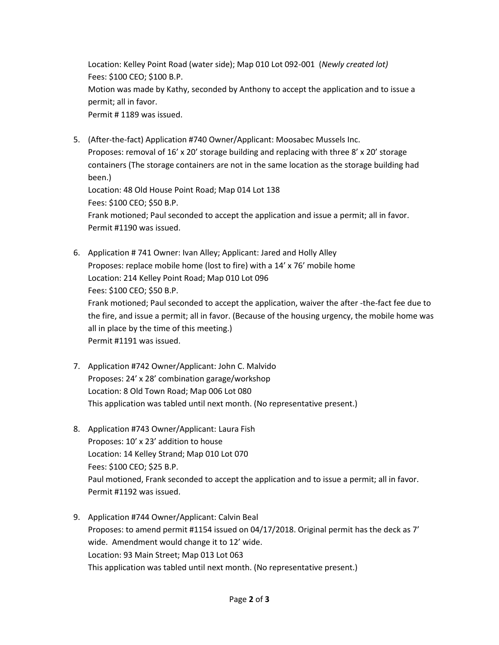Location: Kelley Point Road (water side); Map 010 Lot 092-001 (*Newly created lot)* Fees: \$100 CEO; \$100 B.P. Motion was made by Kathy, seconded by Anthony to accept the application and to issue a permit; all in favor. Permit # 1189 was issued.

5. (After-the-fact) Application #740 Owner/Applicant: Moosabec Mussels Inc. Proposes: removal of 16' x 20' storage building and replacing with three 8' x 20' storage containers (The storage containers are not in the same location as the storage building had been.) Location: 48 Old House Point Road; Map 014 Lot 138 Fees: \$100 CEO; \$50 B.P.

Frank motioned; Paul seconded to accept the application and issue a permit; all in favor. Permit #1190 was issued.

- 6. Application # 741 Owner: Ivan Alley; Applicant: Jared and Holly Alley Proposes: replace mobile home (lost to fire) with a 14' x 76' mobile home Location: 214 Kelley Point Road; Map 010 Lot 096 Fees: \$100 CEO; \$50 B.P. Frank motioned; Paul seconded to accept the application, waiver the after -the-fact fee due to the fire, and issue a permit; all in favor. (Because of the housing urgency, the mobile home was all in place by the time of this meeting.) Permit #1191 was issued.
- 7. Application #742 Owner/Applicant: John C. Malvido Proposes: 24' x 28' combination garage/workshop Location: 8 Old Town Road; Map 006 Lot 080 This application was tabled until next month. (No representative present.)
- 8. Application #743 Owner/Applicant: Laura Fish Proposes: 10' x 23' addition to house Location: 14 Kelley Strand; Map 010 Lot 070 Fees: \$100 CEO; \$25 B.P. Paul motioned, Frank seconded to accept the application and to issue a permit; all in favor. Permit #1192 was issued.
- 9. Application #744 Owner/Applicant: Calvin Beal Proposes: to amend permit #1154 issued on 04/17/2018. Original permit has the deck as 7' wide. Amendment would change it to 12' wide. Location: 93 Main Street; Map 013 Lot 063 This application was tabled until next month. (No representative present.)